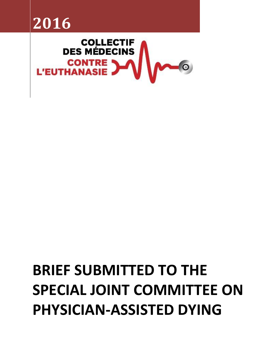



# **BRIEF SUBMITTED TO THE SPECIAL JOINT COMMITTEE ON PHYSICIAN-ASSISTED DYING**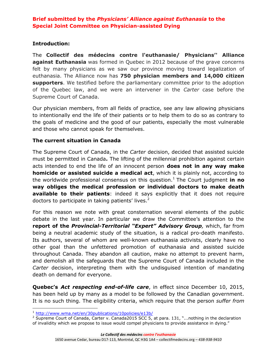## **Introduction:**

The **Collectif des médecins contre l'euthanasie/ Physicians'' Alliance against Euthanasia** was formed in Quebec in 2012 because of the grave concerns felt by many physicians as we saw our province moving toward legalization of euthanasia. The Alliance now has **750 physician members and 14,000 citizen supporters**. We testified before the parliamentary committee prior to the adoption of the Quebec law, and we were an intervener in the *Carter* case before the Supreme Court of Canada.

Our physician members, from all fields of practice, see any law allowing physicians to intentionally end the life of their patients or to help them to do so as contrary to the goals of medicine and the good of our patients, especially the most vulnerable and those who cannot speak for themselves.

#### **The current situation in Canada**

The Supreme Court of Canada, in the *Carter* decision, decided that assisted suicide must be permitted in Canada**.** The lifting of the millennial prohibition against certain acts intended to end the life of an innocent person **does not in any way make homicide or assisted suicide a medical act**, which it is plainly not, according to the worldwide professional consensus on this question.<sup>1</sup> The Court judgment in no **way obliges the medical profession or individual doctors to make death available to their patients**: indeed it says explicitly that it does not require doctors to participate in taking patients' lives. $2^2$ 

For this reason we note with great consternation several elements of the public debate in the last year. In particular we draw the Committee's attention to the **report of the** *Provincial-Territorial "Expert" Advisory Group,* which, far from being a neutral academic study of the situation, is a radical pro-death manifesto. Its authors, several of whom are well-known euthanasia activists, clearly have no other goal than the unfettered promotion of euthanasia and assisted suicide throughout Canada. They abandon all caution, make no attempt to prevent harm, and demolish all the safeguards that the Supreme Court of Canada included in the *Carter* decision, interpreting them with the undisguised intention of mandating death on demand for everyone.

**Quebec's** *Act respecting end-of-life care*, in effect since December 10, 2015, has been held up by many as a model to be followed by the Canadian government. It is no such thing. The eligibility criteria, which require that the person *suffer from* 

 $\overline{\phantom{a}}$ <sup>1</sup> <http://www.wma.net/en/30publications/10policies/e13b/>

<sup>&</sup>lt;sup>2</sup> Supreme Court of Canada, Carter v. Canada2015 SCC 5, at para. 131, "...nothing in the declaration of invalidity which we propose to issue would compel physicians to provide assistance in dying."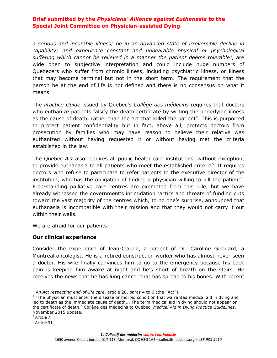*a serious and incurable illness; be in an advanced state of irreversible decline in capability; and experience constant and unbearable physical or psychological*  suffering which cannot be relieved in a manner the patient deems tolerable<sup>3</sup>, are wide open to subjective interpretation and could include huge numbers of Quebecers who suffer from chronic illness, including psychiatric illness, or illness that may become terminal but not in the short term. The requirement that the person be at the end of life is not defined and there is no consensus on what it means.

The *Practice Guide* issued by Quebec's *Collège des médecins* requires that doctors who euthanize patients falsify the death certificate by writing the underlying illness as the cause of death, rather than the act that killed the patient<sup>4</sup>. This is purported to protect patient confidentiality but in fact, above all, protects doctors from prosecution by families who may have reason to believe their relative was euthanized without having requested it or without having met the criteria established in the law.

The Quebec *Act* also requires all public health care institutions, without exception, to provide euthanasia to all patients who meet the established criteria<sup>5</sup>. It requires doctors who refuse to participate to refer patients to the executive director of the institution, who has the obligation of finding a physician willing to kill the patient<sup>6</sup>. Free-standing palliative care centres are exempted from this rule, but we have already witnessed the government's intimidation tactics and threats of funding cuts toward the vast majority of the centres which, to no one's surprise, announced that euthanasia is incompatible with their mission and that they would not carry it out within their walls.

We are afraid for our patients.

#### **Our clinical experience**

Consider the experience of Jean-Claude, a patient of Dr. Caroline Girouard, a Montreal oncologist. He is a retired construction worker who has almost never seen a doctor. His wife finally convinces him to go to the emergency because his back pain is keeping him awake at night and he's short of breath on the stairs. He receives the news that he has lung cancer that has spread to his bones. With recent

 $\overline{a}$ 

<sup>&</sup>lt;sup>3</sup> An Act respecting end-of-life care, article 26, paras 4 to 6 (the "Act").

<sup>&</sup>lt;sup>4</sup> "The physician must enter the disease or morbid condition that warranted medical aid in dying and led to death as the immediate cause of death... The term medical aid in dying should not appear on the certificate of death." Collège des médecins to Québec, *Medical Aid in Dying Practice Guidelines*, November 2015 update.

<sup>&</sup>lt;sup>5</sup> Article 7.

 $^6$  Article 31.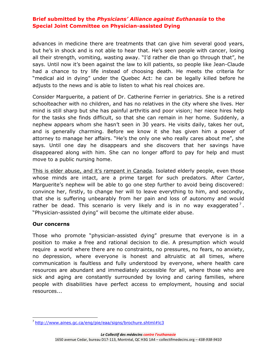advances in medicine there are treatments that can give him several good years, but he's in shock and is not able to hear that. He's seen people with cancer, losing all their strength, vomiting, wasting away. "I'd rather die than go through that", he says. Until now it's been against the law to kill patients, so people like Jean-Claude had a chance to try life instead of choosing death. He meets the criteria for "medical aid in dying" under the Quebec Act: he can be legally killed before he adjusts to the news and is able to listen to what his real choices are.

Consider Marguerite, a patient of Dr. Catherine Ferrier in geriatrics. She is a retired schoolteacher with no children, and has no relatives in the city where she lives. Her mind is still sharp but she has painful arthritis and poor vision; her niece hires help for the tasks she finds difficult, so that she can remain in her home. Suddenly, a nephew appears whom she hasn't seen in 30 years. He visits daily, takes her out, and is generally charming. Before we know it she has given him a power of attorney to manage her affairs. "He's the only one who really cares about me", she says. Until one day he disappears and she discovers that her savings have disappeared along with him. She can no longer afford to pay for help and must move to a public nursing home.

This is elder abuse, and it's rampant in Canada. Isolated elderly people, even those whose minds are intact, are a prime target for such predators. After *Carter*, Marguerite's nephew will be able to go one step further to avoid being discovered: convince her, firstly, to change her will to leave everything to him, and secondly, that she is suffering unbearably from her pain and loss of autonomy and would rather be dead. This scenario is very likely and is in no way exaggerated<sup>7</sup>. "Physician-assisted dying" will become the ultimate elder abuse.

#### **Our concerns**

 $\overline{\phantom{a}}$ 

Those who promote "physician-assisted dying" presume that everyone is in a position to make a free and rational decision to die. A presumption which would require a world where there are no constraints, no pressures, no fears, no anxiety, no depression, where everyone is honest and altruistic at all times, where communication is faultless and fully understood by everyone, where health care resources are abundant and immediately accessible for all, where those who are sick and aging are constantly surrounded by loving and caring families, where people with disabilities have perfect access to employment, housing and social resources...

<sup>&</sup>lt;sup>7</sup> <http://www.aines.gc.ca/eng/pie/eaa/signs/brochure.shtml#lc3>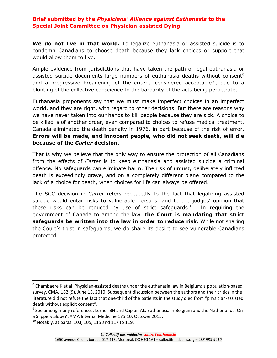**We do not live in that world.** To legalize euthanasia or assisted suicide is to condemn Canadians to choose death because they lack choices or support that would allow them to live.

Ample evidence from jurisdictions that have taken the path of legal euthanasia or assisted suicide documents large numbers of euthanasia deaths without consent<sup>8</sup> and a progressive broadening of the criteria considered acceptable<sup>9</sup>, due to a blunting of the collective conscience to the barbarity of the acts being perpetrated.

Euthanasia proponents say that we must make imperfect choices in an imperfect world, and they are right, with regard to other decisions. But there are reasons why we have never taken into our hands to kill people because they are sick. A choice to be killed is of another order, even compared to choices to refuse medical treatment. Canada eliminated the death penalty in 1976, in part because of the risk of error. **Errors will be made, and innocent people, who did not seek death, will die because of the** *Carter* **decision.**

That is why we believe that the only way to ensure the protection of all Canadians from the effects of *Carter* is to keep euthanasia and assisted suicide a criminal offence. No safeguards can eliminate harm. The risk of unjust, deliberately inflicted death is exceedingly grave, and on a completely different plane compared to the lack of a choice for death, when choices for life can always be offered.

The SCC decision in *Carter* refers repeatedly to the fact that legalizing assisted suicide would entail risks to vulnerable persons, and to the judges' opinion that these risks can be reduced by use of strict safeguards  $10$ . In requiring the government of Canada to amend the law, **the Court is mandating that strict safeguards be written into the law in order to reduce risk**. While not sharing the Court's trust in safeguards, we do share its desire to see vulnerable Canadians protected.

 $\overline{\phantom{a}}$ 

 $^8$  Chambaere K et al, Physician-assisted deaths under the euthanasia law in Belgium: a population-based survey. CMAJ 182 (9), June 15, 2010. Subsequent discussion between the authors and their critics in the literature did not refute the fact that one-third of the patients in the study died from "physician-assisted death without explicit consent".

<sup>&</sup>lt;sup>9</sup> See among many references: Lerner BH and Caplan AL, Euthanasia in Belgium and the Netherlands: On a Slippery Slope? JAMA Internal Medicine 175:10, October 2015.

 $10$  Notably, at paras. 103, 105, 115 and 117 to 119.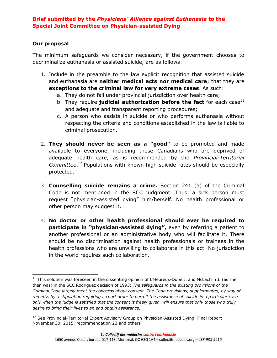# **Our proposal**

The minimum safeguards we consider necessary, if the government chooses to decriminalize euthanasia or assisted suicide, are as follows:

- 1. Include in the preamble to the law explicit recognition that assisted suicide and euthanasia are **neither medical acts nor medical care**; that they are **exceptions to the criminal law for very extreme cases**. As such:
	- a. They do not fall under provincial jurisdiction over health care;
	- b. They require **judicial authorization before the fact** for each case<sup>11</sup> and adequate and transparent reporting procedures;
	- c. A person who assists in suicide or who performs euthanasia without respecting the criteria and conditions established in the law is liable to criminal prosecution.
- 2. **They should never be seen as a "good"** to be promoted and made available to everyone, including those Canadians who are deprived of adequate health care, as is recommended by the *Provincial-Territorial Committee*. <sup>12</sup> Populations with known high suicide rates should be especially protected.
- 3. **Counselling suicide remains a crime.** Section 241 (a) of the Criminal Code is not mentioned in the SCC judgment. Thus, a sick person must request "physician-assisted dying" him/herself. No health professional or other person may suggest it.
- 4. **No doctor or other health professional should ever be required to participate in "physician-assisted dying",** even by referring a patient to another professional or an administrative body who will facilitate it. There should be no discrimination against health professionals or trainees in the health professions who are unwilling to collaborate in this act. No jurisdiction in the world requires such collaboration.

 $\overline{a}$  $11$  This solution was foreseen in the dissenting opinion of L'Heureux-Dubé J. and McLachlin J. (as she then was) in the SCC Rodriguez decision of 1993: *The safeguards in the existing provisions of the Criminal Code largely meet the concerns about consent. The Code provisions, supplemented, by way of remedy, by a stipulation requiring a court order to permit the assistance of suicide in a particular case only when the judge is satisfied that the consent is freely given, will ensure that only those who truly desire to bring their lives to an end obtain assistance.* 

<sup>&</sup>lt;sup>12</sup> See Provincial-Territorial Expert Advisory Group on Physician-Assisted Dying, Final Report November 30, 2015, recommendation 23 and others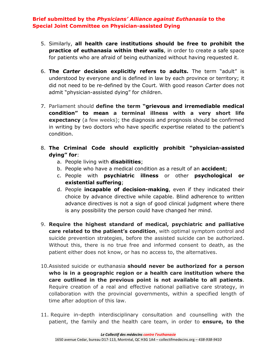- 5. Similarly, **all health care institutions should be free to prohibit the practice of euthanasia within their walls**, in order to create a safe space for patients who are afraid of being euthanized without having requested it.
- 6. **The** *Carter* **decision explicitly refers to adults.** The term "adult" is understood by everyone and is defined in law by each province or territory; it did not need to be re-defined by the Court. With good reason *Carter* does not admit "physician-assisted dying" for children.
- 7. Parliament should **define the term "grievous and irremediable medical condition" to mean a terminal illness with a very short life expectancy** (a few weeks); the diagnosis and prognosis should be confirmed in writing by two doctors who have specific expertise related to the patient's condition.
- 8. **The Criminal Code should explicitly prohibit "physician-assisted dying" for**:
	- a. People living with **disabilities**;
	- b. People who have a medical condition as a result of an **accident**;
	- c. People with **psychiatric illness** or other **psychological or existential suffering**;
	- d. People **incapable of decision-making**, even if they indicated their choice by advance directive while capable. Blind adherence to written advance directives is not a sign of good clinical judgment where there is any possibility the person could have changed her mind.
- 9. **Require the highest standard of medical, psychiatric and palliative care related to the patient's condition**, with optimal symptom control and suicide prevention strategies, before the assisted suicide can be authorized. Without this, there is no true free and informed consent to death, as the patient either does not know, or has no access to, the alternatives.
- 10.Assisted suicide or euthanasia **should never be authorized for a person who is in a geographic region or a health care institution where the care outlined in the previous point is not available to all patients**. Require creation of a real and effective national palliative care strategy, in collaboration with the provincial governments, within a specified length of time after adoption of this law.
- 11. Require in-depth interdisciplinary consultation and counselling with the patient, the family and the health care team, in order to **ensure, to the**